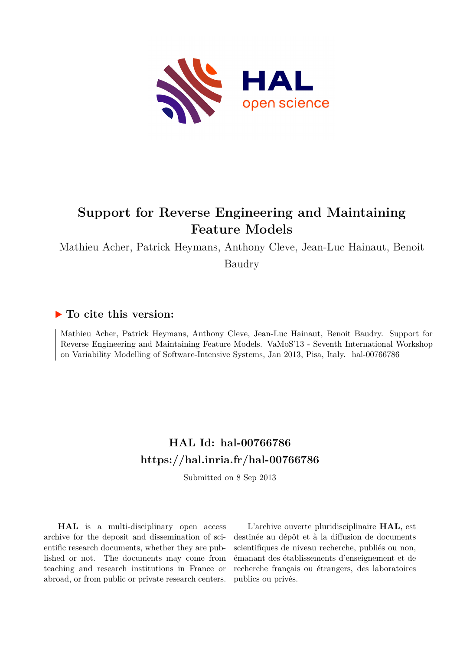

# **Support for Reverse Engineering and Maintaining Feature Models**

Mathieu Acher, Patrick Heymans, Anthony Cleve, Jean-Luc Hainaut, Benoit

Baudry

## **To cite this version:**

Mathieu Acher, Patrick Heymans, Anthony Cleve, Jean-Luc Hainaut, Benoit Baudry. Support for Reverse Engineering and Maintaining Feature Models. VaMoS'13 - Seventh International Workshop on Variability Modelling of Software-Intensive Systems, Jan 2013, Pisa, Italy. hal-00766786

## **HAL Id: hal-00766786 <https://hal.inria.fr/hal-00766786>**

Submitted on 8 Sep 2013

**HAL** is a multi-disciplinary open access archive for the deposit and dissemination of scientific research documents, whether they are published or not. The documents may come from teaching and research institutions in France or abroad, or from public or private research centers.

L'archive ouverte pluridisciplinaire **HAL**, est destinée au dépôt et à la diffusion de documents scientifiques de niveau recherche, publiés ou non, émanant des établissements d'enseignement et de recherche français ou étrangers, des laboratoires publics ou privés.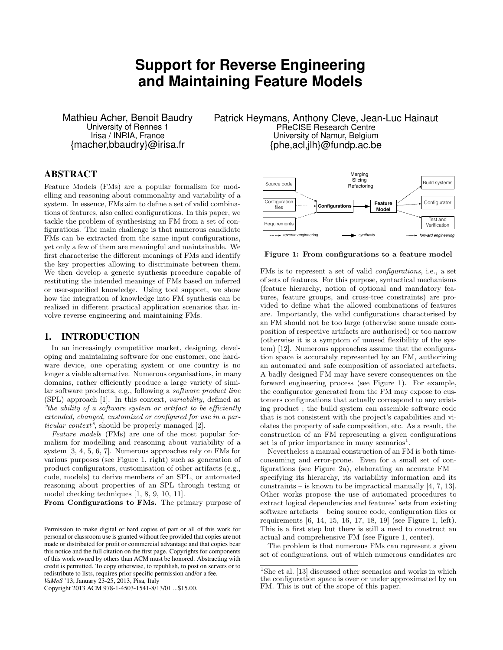## **Support for Reverse Engineering and Maintaining Feature Models**

Mathieu Acher, Benoit Baudry University of Rennes 1 Irisa / INRIA, France {macher,bbaudry}@irisa.fr

Patrick Heymans, Anthony Cleve, Jean-Luc Hainaut PReCISE Research Centre University of Namur, Belgium {phe,acl,jlh}@fundp.ac.be

## ABSTRACT

Feature Models (FMs) are a popular formalism for modelling and reasoning about commonality and variability of a system. In essence, FMs aim to define a set of valid combinations of features, also called configurations. In this paper, we tackle the problem of synthesising an FM from a set of configurations. The main challenge is that numerous candidate FMs can be extracted from the same input configurations, yet only a few of them are meaningful and maintainable. We first characterise the different meanings of FMs and identify the key properties allowing to discriminate between them. We then develop a generic synthesis procedure capable of restituting the intended meanings of FMs based on inferred or user-specified knowledge. Using tool support, we show how the integration of knowledge into FM synthesis can be realized in different practical application scenarios that involve reverse engineering and maintaining FMs.

## 1. INTRODUCTION

In an increasingly competitive market, designing, developing and maintaining software for one customer, one hardware device, one operating system or one country is no longer a viable alternative. Numerous organisations, in many domains, rather efficiently produce a large variety of similar software products, e.g., following a software product line (SPL) approach [1]. In this context, variability, defined as "the ability of a software system or artifact to be efficiently extended, changed, customized or configured for use in a particular context", should be properly managed [2].

Feature models (FMs) are one of the most popular formalism for modelling and reasoning about variability of a system [3, 4, 5, 6, 7]. Numerous approaches rely on FMs for various purposes (see Figure 1, right) such as generation of product configurators, customisation of other artifacts (e.g., code, models) to derive members of an SPL, or automated reasoning about properties of an SPL through testing or model checking techniques [1, 8, 9, 10, 11].

From Configurations to FMs. The primary purpose of

*VaMoS* '13, January 23-25, 2013, Pisa, Italy

Copyright 2013 ACM 978-1-4503-1541-8/13/01 ...\$15.00.



Figure 1: From configurations to a feature model

FMs is to represent a set of valid configurations, i.e., a set of sets of features. For this purpose, syntactical mechanisms (feature hierarchy, notion of optional and mandatory features, feature groups, and cross-tree constraints) are provided to define what the allowed combinations of features are. Importantly, the valid configurations characterised by an FM should not be too large (otherwise some unsafe composition of respective artifacts are authorised) or too narrow (otherwise it is a symptom of unused flexibility of the system) [12]. Numerous approaches assume that the configuration space is accurately represented by an FM, authorizing an automated and safe composition of associated artefacts. A badly designed FM may have severe consequences on the forward engineering process (see Figure 1). For example, the configurator generated from the FM may expose to customers configurations that actually correspond to any existing product ; the build system can assemble software code that is not consistent with the project's capabilities and violates the property of safe composition, etc. As a result, the construction of an FM representing a given configurations set is of prior importance in many scenarios<sup>1</sup>.

Nevertheless a manual construction of an FM is both timeconsuming and error-prone. Even for a small set of configurations (see Figure 2a), elaborating an accurate FM – specifying its hierarchy, its variability information and its constraints – is known to be impractical manually [4, 7, 13]. Other works propose the use of automated procedures to extract logical dependencies and features' sets from existing software artefacts – being source code, configuration files or requirements [6, 14, 15, 16, 17, 18, 19] (see Figure 1, left). This is a first step but there is still a need to construct an actual and comprehensive FM (see Figure 1, center).

The problem is that numerous FMs can represent a given set of configurations, out of which numerous candidates are

Permission to make digital or hard copies of part or all of this work for personal or classroom use is granted without fee provided that copies are not made or distributed for profit or commercial advantage and that copies bear this notice and the full citation on the first page. Copyrights for components of this work owned by others than ACM must be honored. Abstracting with credit is permitted. To copy otherwise, to republish, to post on servers or to redistribute to lists, requires prior specific permission and/or a fee.

<sup>&</sup>lt;sup>1</sup>She et al. [13] discussed other scenarios and works in which the configuration space is over or under approximated by an FM. This is out of the scope of this paper.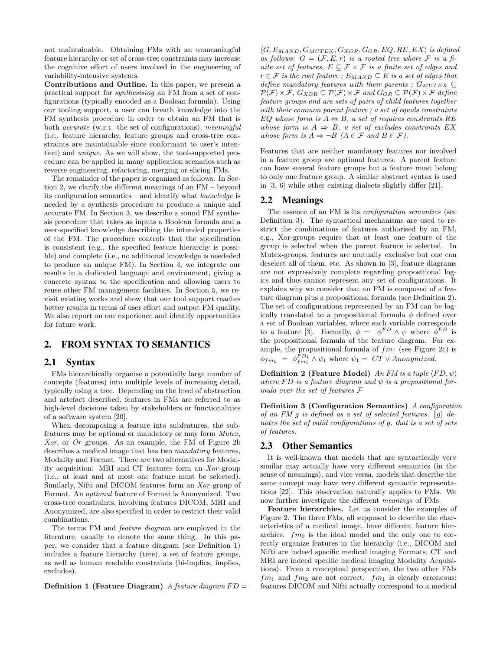not maintainable. Obtaining FMs with an unmeaningful feature hierarchy or set of cross-tree constraints may increase the cognitive effort of users involved in the engineering of variability-intensive systems.

Contributions and Outline. In this paper, we present a practical support for synthesising an FM from a set of configurations (typically encoded as a Boolean formula). Using our tooling support, a user can breath knowledge into the FM synthesis procedure in order to obtain an FM that is both accurate (w.r.t. the set of configurations), meaningful (i.e., feature hierarchy, feature groups and cross-tree constraints are maintainable since conformant to user's intention) and unique. As we will show, the tool-supported procedure can be applied in many application scenarios such as reverse engineering, refactoring, merging or slicing FMs.

The remainder of the paper is organized as follows. In Section 2, we clarify the different meanings of an FM – beyond its configuration semantics – and identify what knowledge is needed by a synthesis procedure to produce a unique and accurate FM. In Section 3, we describe a sound FM synthesis procedure that takes as inputs a Boolean formula and a user-specified knowledge describing the intended properties of the FM. The procedure controls that the specification is consistent (e.g., the specified feature hierarchy is possible) and complete (i.e., no additional knowledge is neededed to produce an unique FM). In Section 4, we integrate our results in a dedicated language and environment, giving a concrete syntax to the specification and allowing users to reuse other FM management facilities. In Section 5, we revisit existing works and show that our tool support reaches better results in terms of user effort and output FM quality. We also report on our experience and identify opportunities for future work.

## 2. FROM SYNTAX TO SEMANTICS

#### 2.1 Syntax

FMs hierarchically organise a potentially large number of concepts (features) into multiple levels of increasing detail, typically using a tree. Depending on the level of abstraction and artefact described, features in FMs are referred to as high-level decisions taken by stakeholders or functionalities of a software system [20].

When decomposing a feature into subfeatures, the subfeatures may be optional or mandatory or may form Mutex, Xor, or Or groups. As an example, the FM of Figure 2b describes a medical image that has two mandatory features, Modality and Format. There are two alternatives for Modality acquisition: MRI and CT features form an Xor-group (i.e., at least and at most one feature must be selected). Similarly, Nifti and DICOM features form an Xor-group of Format. An optional feature of Format is Anonymized. Two cross-tree constraints, involving features DICOM, MRI and Anonymized, are also specified in order to restrict their valid combinations.

The terms FM and feature diagram are employed in the literature, usually to denote the same thing. In this paper, we consider that a feature diagram (see Definition 1) includes a feature hierarchy (tree), a set of feature groups, as well as human readable constraints (bi-implies, implies, excludes).

Definition 1 (Feature Diagram) A feature diagram  $FD =$ 

 $\langle G, E_{MAND}, G_{MUTEX}, G_{XOR}, G_{OR}, EQ, RE, EX \rangle$  is defined as follows:  $G = (\mathcal{F}, E, r)$  is a rooted tree where  $\mathcal F$  is a finite set of features,  $E \subseteq \mathcal{F} \times \mathcal{F}$  is a finite set of edges and  $r \in \mathcal{F}$  is the root feature ;  $E_{MAND} \subseteq E$  is a set of edges that define mandatory features with their parents ;  $G_{MUTEX} \subseteq$  $\mathcal{P}(\mathcal{F}) \times \mathcal{F}, G_{XOR} \subseteq \mathcal{P}(\mathcal{F}) \times \mathcal{F}$  and  $G_{OR} \subseteq \mathcal{P}(\mathcal{F}) \times \mathcal{F}$  define feature groups and are sets of pairs of child features together with their common parent feature ; a set of equals constraints EQ whose form is  $A \Leftrightarrow B$ , a set of requires constraints RE whose form is  $A \Rightarrow B$ , a set of excludes constraints EX whose form is  $A \Rightarrow \neg B$   $(A \in \mathcal{F}$  and  $B \in \mathcal{F}$ ).

Features that are neither mandatory features nor involved in a feature group are optional features. A parent feature can have several feature groups but a feature must belong to only one feature group. A similar abstract syntax is used in [3, 6] while other existing dialects slightly differ [21].

#### 2.2 Meanings

The essence of an FM is its *configuration semantics* (see Definition 3). The syntactical mechanisms are used to restrict the combinations of features authorised by an FM, e.g., Xor-groups require that at least one feature of the group is selected when the parent feature is selected. In Mutex-groups, features are mutually exclusive but one can deselect all of them, etc. As shown in [3], feature diagrams are not expressively complete regarding propositional logics and thus cannot represent any set of configurations. It explains why we consider that an FM is composed of a feature diagram plus a propositional formula (see Definition 2). The set of configurations represented by an FM can be logically translated to a propositional formula  $\phi$  defined over a set of Boolean variables, where each variable corresponds to a feature [3]. Formally,  $\phi = \phi^{FD} \wedge \psi$  where  $\phi^{FD}$  is the propositional formula of the feature diagram. For example, the propositional formula of  $fm_1$  (see Figure 2c) is  $\phi_{fm_1} = \phi_{fm_1}^{FD_1} \wedge \psi_1$  where  $\psi_1 = CT \vee Anonymized$ .

Definition 2 (Feature Model) An FM is a tuple  $\langle FD, \psi \rangle$ where FD is a feature diagram and  $\psi$  is a propositional formula over the set of features F

Definition 3 (Configuration Semantics) A configuration of an FM g is defined as a set of selected features.  $\llbracket g \rrbracket$  denotes the set of valid configurations of g, that is a set of sets of features.

### 2.3 Other Semantics

It is well-known that models that are syntactically very similar may actually have very different semantics (in the sense of meanings), and vice versa, models that describe the same concept may have very different syntactic representations [22]. This observation naturally applies to FMs. We now further investigate the different meanings of FMs.

Feature hierarchies. Let us consider the examples of Figure 2. The three FMs, all supposed to describe the characteristics of a medical image, have different feature hierarchies.  $fm_0$  is the ideal model and the only one to correctly organize features in the hierarchy (i.e., DICOM and Nifti are indeed specific medical imaging Formats, CT and MRI are indeed specific medical imaging Modality Acquisitions). From a conceptual perspective, the two other FMs  $fm_1$  and  $fm_2$  are not correct.  $fm_1$  is clearly erroneous: features DICOM and Nifti actually correspond to a medical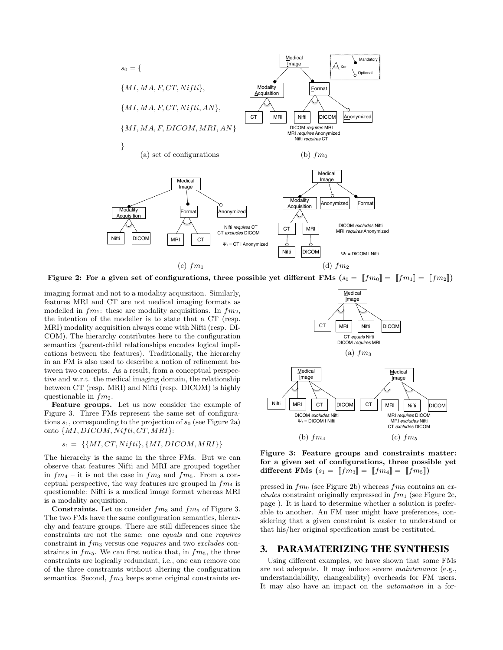

Figure 2: For a given set of configurations, three possible yet different FMs  $(s_0 = \|fm_0\| = \|fm_1\| = \|fm_2\|$ 

imaging format and not to a modality acquisition. Similarly, features MRI and CT are not medical imaging formats as modelled in  $fm_1$ : these are modality acquisitions. In  $fm_2$ , the intention of the modeller is to state that a CT (resp. MRI) modality acquisition always come with Nifti (resp. DI-COM). The hierarchy contributes here to the configuration semantics (parent-child relationships encodes logical implications between the features). Traditionally, the hierarchy in an FM is also used to describe a notion of refinement between two concepts. As a result, from a conceptual perspective and w.r.t. the medical imaging domain, the relationship between CT (resp. MRI) and Nifti (resp. DICOM) is highly questionable in  $fm_2$ .

Feature groups. Let us now consider the example of Figure 3. Three FMs represent the same set of configurations  $s_1$ , corresponding to the projection of  $s_0$  (see Figure 2a) onto  $\{MI, DICOM, Nifti, CT, MRI\}$ :

$$
s_1 = \{ \{MI, CT, Nifti\}, \{MI, DICOM, MRI\} \}
$$

The hierarchy is the same in the three FMs. But we can observe that features Nifti and MRI are grouped together in  $fm_4$  – it is not the case in  $fm_3$  and  $fm_5$ . From a conceptual perspective, the way features are grouped in  $fm<sub>4</sub>$  is questionable: Nifti is a medical image format whereas MRI is a modality acquisition.

**Constraints.** Let us consider  $fm_3$  and  $fm_5$  of Figure 3. The two FMs have the same configuration semantics, hierarchy and feature groups. There are still differences since the constraints are not the same: one equals and one requires constraint in fm<sup>3</sup> versus one requires and two excludes constraints in  $fm<sub>5</sub>$ . We can first notice that, in  $fm<sub>5</sub>$ , the three constraints are logically redundant, i.e., one can remove one of the three constraints without altering the configuration semantics. Second,  $fm_3$  keeps some original constraints ex-



Figure 3: Feature groups and constraints matter: for a given set of configurations, three possible yet different FMs  $(s_1 = \llbracket fm_3 \rrbracket = \llbracket fm_4 \rrbracket = \llbracket fm_5 \rrbracket)$ 

pressed in  $fm_0$  (see Figure 2b) whereas  $fm_5$  contains an excludes constraint originally expressed in  $fm_1$  (see Figure 2c, page ). It is hard to determine whether a solution is preferable to another. An FM user might have preferences, considering that a given constraint is easier to understand or that his/her original specification must be restituted.

## 3. PARAMATERIZING THE SYNTHESIS

Using different examples, we have shown that some FMs are not adequate. It may induce severe maintenance (e.g., understandability, changeability) overheads for FM users. It may also have an impact on the automation in a for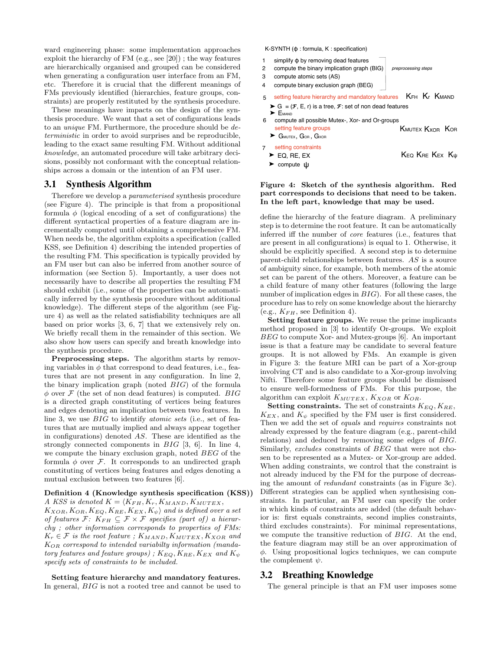ward engineering phase: some implementation approaches exploit the hierarchy of FM (e.g., see [20]) ; the way features are hierarchically organised and grouped can be considered when generating a configuration user interface from an FM, etc. Therefore it is crucial that the different meanings of FMs previously identified (hierarchies, feature groups, constraints) are properly restituted by the synthesis procedure.

These meanings have impacts on the design of the synthesis procedure. We want that a set of configurations leads to an unique FM. Furthermore, the procedure should be deterministic in order to avoid surprises and be reproducible, leading to the exact same resulting FM. Without additional knowledge, an automated procedure will take arbitrary decisions, possibly not conformant with the conceptual relationships across a domain or the intention of an FM user.

## 3.1 Synthesis Algorithm

Therefore we develop a parameterised synthesis procedure (see Figure 4). The principle is that from a propositional formula  $\phi$  (logical encoding of a set of configurations) the different syntactical properties of a feature diagram are incrementally computed until obtaining a comprehensive FM. When needs be, the algorithm exploits a specification (called KSS, see Definition 4) describing the intended properties of the resulting FM. This specification is typically provided by an FM user but can also be inferred from another source of information (see Section 5). Importantly, a user does not necessarily have to describe all properties the resulting FM should exhibit (i.e., some of the properties can be automatically inferred by the synthesis procedure without additional knowledge). The different steps of the algorithm (see Figure 4) as well as the related satisfiability techniques are all based on prior works [3, 6, 7] that we extensively rely on. We briefly recall them in the remainder of this section. We also show how users can specify and breath knowledge into the synthesis procedure.

Preprocessing steps. The algorithm starts by removing variables in  $\phi$  that correspond to dead features, i.e., features that are not present in any configuration. In line 2, the binary implication graph (noted BIG) of the formula  $\phi$  over  $\mathcal F$  (the set of non dead features) is computed. BIG is a directed graph constituting of vertices being features and edges denoting an implication between two features. In line 3, we use BIG to identify atomic sets (i.e., set of features that are mutually implied and always appear together in configurations) denoted AS. These are identified as the strongly connected components in BIG [3, 6]. In line 4, we compute the binary exclusion graph, noted BEG of the formula  $\phi$  over F. It corresponds to an undirected graph constituting of vertices being features and edges denoting a mutual exclusion between two features [6].

#### Definition 4 (Knowledge synthesis specification (KSS))

A KSS is denoted  $K = \langle K_{FH}, K_r, K_{MAND}, K_{MUTEX} \rangle$ ,  $K_{XOR}, K_{OR}, K_{EQ}, K_{RE}, K_{EX}, K_{\psi}$  and is defined over a set of features  $\mathcal{F}: K_{FH} \subseteq \mathcal{F} \times \mathcal{F}$  specifies (part of) a hierarchy ; other information corresponds to properties of FMs:  $K_r \in \mathcal{F}$  is the root feature;  $K_{MAND}$ ,  $K_{MUTEX}$ ,  $K_{XOR}$  and  $K_{OR}$  correspond to intended variabilty information (mandatory features and feature groups);  $K_{EQ}$ ,  $K_{RE}$ ,  $K_{EX}$  and  $K_{\psi}$ specify sets of constraints to be included.

Setting feature hierarchy and mandatory features. In general, BIG is not a rooted tree and cannot be used to K-SYNTH (ɸ : formula, K : specification)

- simplify ɸ by removing dead features 1
- 2 compute the binary implication graph (BIG) 3 compute atomic sets (AS) *preprocessing steps*
- 
- 4 compute binary exclusion graph (BEG)
- 5 setting feature hierarchy and mandatory features KFH Kr KMAND  $\triangleright$  G = (*F*, E, r) is a tree, *F*: set of non dead features
- 6 compute all possible Mutex-, Xor- and Or-groups setting feature groups  $\blacktriangleright$   $G_{\text{MULTEX}}$ ,  $G_{\text{OR}}$ ,  $G_{\text{XOR}}$  $\blacktriangleright$   $E_{MAND}$ 7 setting constraints KMUTEX KXOR KOR K<sub>EQ</sub> K<sub>RE</sub> K<sub>ex</sub> K<sub>ψ</sub>
- $\blacktriangleright$  EQ, RE, EX compute ѱ

#### Figure 4: Sketch of the synthesis algorithm. Red part corresponds to decisions that need to be taken. In the left part, knowledge that may be used.

define the hierarchy of the feature diagram. A preliminary step is to determine the root feature. It can be automatically inferred iff the number of core features (i.e., features that are present in all configurations) is equal to 1. Otherwise, it should be explicitly specified. A second step is to determine parent-child relationships between features. AS is a source of ambiguity since, for example, both members of the atomic set can be parent of the others. Moreover, a feature can be a child feature of many other features (following the large number of implication edges in  $BIG$ ). For all these cases, the procedure has to rely on some knowledge about the hierarchy (e.g.,  $K_{FH}$ , see Definition 4).

Setting feature groups. We reuse the prime implicants method proposed in [3] to identify Or-groups. We exploit BEG to compute Xor- and Mutex-groups [6]. An important issue is that a feature may be candidate to several feature groups. It is not allowed by FMs. An example is given in Figure 3: the feature MRI can be part of a Xor-group involving CT and is also candidate to a Xor-group involving Nifti. Therefore some feature groups should be dismissed to ensure well-formedness of FMs. For this purpose, the algorithm can exploit  $K_{MUTEX}$ ,  $K_{XOR}$  or  $K_{OR}$ .

Setting constraints. The set of constraints  $K_{EQ}$ ,  $K_{RE}$ ,  $K_{EX}$ , and  $K_{\psi}$  specified by the FM user is first considered. Then we add the set of equals and requires constraints not already expressed by the feature diagram (e.g., parent-child relations) and deduced by removing some edges of BIG. Similarly, excludes constraints of BEG that were not chosen to be represented as a Mutex- or Xor-group are added. When adding constraints, we control that the constraint is not already induced by the FM for the purpose of decreasing the amount of redundant constraints (as in Figure 3c). Different strategies can be applied when synthesising constraints. In particular, an FM user can specify the order in which kinds of constraints are added (the default behavior is: first equals constraints, second implies constraints, third excludes constraints). For minimal representations, we compute the transitive reduction of BIG. At the end, the feature diagram may still be an over approximation of  $\phi$ . Using propositional logics techniques, we can compute the complement  $\psi$ .

## 3.2 Breathing Knowledge

The general principle is that an FM user imposes some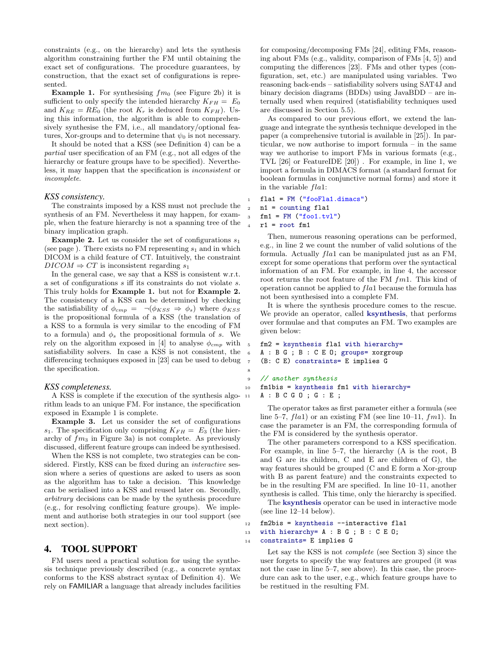constraints (e.g., on the hierarchy) and lets the synthesis algorithm constraining further the FM until obtaining the exact set of configurations. The procedure guarantees, by construction, that the exact set of configurations is represented.

**Example 1.** For synthesising  $fm_0$  (see Figure 2b) it is sufficient to only specify the intended hierarchy  $K_{FH} = E_0$ and  $K_{RE} = RE_0$  (the root  $K_r$  is deduced from  $K_{FH}$ ). Using this information, the algorithm is able to comprehensively synthesise the FM, i.e., all mandatory/optional features, Xor-groups and to determine that  $\psi_0$  is not necessary.

It should be noted that a KSS (see Definition 4) can be a partial user specification of an FM (e.g., not all edges of the hierarchy or feature groups have to be specified). Nevertheless, it may happen that the specification is inconsistent or incomplete.

#### *KSS consistency.*

The constraints imposed by a KSS must not preclude the synthesis of an FM. Nevertheless it may happen, for example, when the feature hierarchy is not a spanning tree of the binary implication graph.

**Example 2.** Let us consider the set of configurations  $s_1$ (see page). There exists no FM representing  $s_1$  and in which DICOM is a child feature of CT. Intuitively, the constraint  $DICOM \Rightarrow CT$  is inconsistent regarding  $s_1$ 

In the general case, we say that a KSS is consistent w.r.t. a set of configurations s iff its constraints do not violate s. This truly holds for Example 1. but not for Example 2. The consistency of a KSS can be determined by checking the satisfiability of  $\phi_{cmp} = \neg(\phi_{KSS} \Rightarrow \phi_s)$  where  $\phi_{KSS}$ is the propositional formula of a KSS (the translation of a KSS to a formula is very similar to the encoding of FM to a formula) and  $\phi_s$  the propositional formula of s. We rely on the algorithm exposed in [4] to analyse  $\phi_{cmp}$  with satisfiability solvers. In case a KSS is not consistent, the differencing techniques exposed in [23] can be used to debug the specification.

#### *KSS completeness.*

A KSS is complete if the execution of the synthesis algorithm leads to an unique FM. For instance, the specification exposed in Example 1 is complete.

Example 3. Let us consider the set of configurations  $s_1$ . The specification only comprising  $K_{FH} = E_3$  (the hierarchy of  $fm_3$  in Figure 3a) is not complete. As previously discussed, different feature groups can indeed be synthesised.

When the KSS is not complete, two strategies can be considered. Firstly, KSS can be fixed during an *interactive* session where a series of questions are asked to users as soon as the algorithm has to take a decision. This knowledge can be serialised into a KSS and reused later on. Secondly, arbitrary decisions can be made by the synthesis procedure (e.g., for resolving conflicting feature groups). We implement and authorise both strategies in our tool support (see next section).

## 4. TOOL SUPPORT

FM users need a practical solution for using the synthesis technique previously described (e.g., a concrete syntax conforms to the KSS abstract syntax of Definition 4). We rely on FAMILIAR a language that already includes facilities for composing/decomposing FMs [24], editing FMs, reasoning about FMs (e.g., validity, comparison of FMs [4, 5]) and computing the differences [23]. FMs and other types (configuration, set, etc.) are manipulated using variables. Two reasoning back-ends – satisfiability solvers using SAT4J and binary decision diagrams (BDDs) using JavaBDD – are internally used when required (statisfiability techniques used are discussed in Section 5.5).

As compared to our previous effort, we extend the language and integrate the synthesis technique developed in the paper (a comprehensive tutorial is available in [25]). In particular, we now authorise to import formula – in the same way we authorise to import FMs in various formats (e.g., TVL [26] or FeatureIDE [20]) . For example, in line 1, we import a formula in DIMACS format (a standard format for boolean formulas in conjunctive normal forms) and store it in the variable  $fla1$ :

```
flat = FM ("fooFla1.dimacs")
2 n1 = counting fla1
3 fm1 = FM ("foot.tvl")4 r1 = root fm1
```
Then, numerous reasoning operations can be performed, e.g., in line 2 we count the number of valid solutions of the formula. Actually  $fla1$  can be manipulated just as an FM, except for some operations that perform over the syntactical information of an FM. For example, in line 4, the accessor root returns the root feature of the FM fm1. This kind of operation cannot be applied to  $f/a1$  because the formula has not been synthesised into a complete FM.

It is where the synthesis procedure comes to the rescue. We provide an operator, called **ksynthesis**, that performs over formulae and that computes an FM. Two examples are given below:

```
fm2 = ksynthesis fla1 with hierarchy=
6 A : B G ; B : C E O; groups= xorgroup
7 (B: C E) constraints= E implies G
```
## <sup>9</sup> // another synthesis

8

```
10 fm1bis = ksynthesis fm1 with hierarchy=
11 A : B C G O ; G : E ;
```
The operator takes as first parameter either a formula (see line 5–7,  $fla1$ ) or an existing FM (see line 10–11,  $fm1$ ). In case the parameter is an FM, the corresponding formula of the FM is considered by the synthesis operator.

The other parameters correspond to a KSS specification. For example, in line 5–7, the hierarchy (A is the root, B and G are its children, C and E are children of G), the way features should be grouped (C and E form a Xor-group with B as parent feature) and the constraints expected to be in the resulting FM are specified. In line 10–11, another synthesis is called. This time, only the hierarchy is specified.

The ksynthesis operator can be used in interactive mode (see line 12–14 below).

```
12 fm2bis = ksynthesis --interactive fla1
13 with hierarchy= A : B G ; B : C E O;
14 constraints= E implies G
```
Let say the KSS is not *complete* (see Section 3) since the user forgets to specify the way features are grouped (it was not the case in line 5–7, see above). In this case, the procedure can ask to the user, e.g., which feature groups have to be restitued in the resulting FM.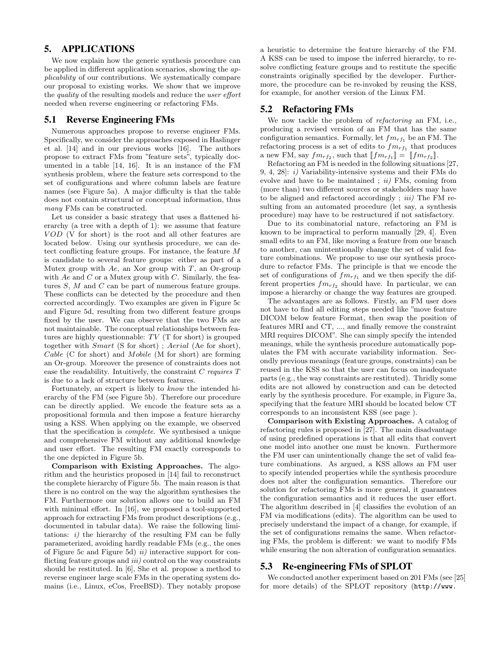## 5. APPLICATIONS

We now explain how the generic synthesis procedure can be applied in different application scenarios, showing the applicability of our contributions. We systematically compare our proposal to existing works. We show that we improve the *quality* of the resulting models and reduce the *user effort* needed when reverse engineering or refactoring FMs.

### 5.1 Reverse Engineering FMs

Numerous approaches propose to reverse engineer FMs. Specifically, we consider the approaches exposed in Haslinger et al. [14] and in our previous works [16]. The authors propose to extract FMs from "feature sets", typically documented in a table [14, 16]. It is an instance of the FM synthesis problem, where the feature sets correspond to the set of configurations and where column labels are feature names (see Figure 5a). A major difficulty is that the table does not contain structural or conceptual information, thus many FMs can be constructed.

Let us consider a basic strategy that uses a flattened hierarchy (a tree with a depth of 1): we assume that feature VOD (V for short) is the root and all other features are located below. Using our synthesis procedure, we can detect conflicting feature groups. For instance, the feature M is candidate to several feature groups: either as part of a Mutex group with  $Ae$ , an Xor group with T, an Or-group with  $Ae$  and  $C$  or a Mutex group with  $C$ . Similarly, the features S, M and C can be part of numerous feature groups. These conflicts can be detected by the procedure and then corrected accordingly. Two examples are given in Figure 5c and Figure 5d, resulting from two different feature groups fixed by the user. We can observe that the two FMs are not maintainable. The conceptual relationships between features are highly questionnable:  $TV$  (T for short) is grouped together with Smart (S for short) ; Aerial (Ae for short), Cable (C for short) and Mobile (M for short) are forming an Or-group. Moreover the presence of constraints does not ease the readability. Intuitively, the constraint  $C$  requires  $T$ is due to a lack of structure between features.

Fortunately, an expert is likely to know the intended hierarchy of the FM (see Figure 5b). Therefore our procedure can be directly applied. We encode the feature sets as a propositional formula and then impose a feature hierarchy using a KSS. When applying on the example, we observed that the specification is complete. We synthesised a unique and comprehensive FM without any additional knowledge and user effort. The resulting FM exactly corresponds to the one depicted in Figure 5b.

Comparison with Existing Approaches. The algorithm and the heuristics proposed in [14] fail to reconstruct the complete hierarchy of Figure 5b. The main reason is that there is no control on the way the algorithm synthesises the FM. Furthermore our solution allows one to build an FM with minimal effort. In [16], we proposed a tool-supported approach for extracting FMs from product descriptions (e.g., documented in tabular data). We raise the following limitations:  $i$ ) the hierarchy of the resulting FM can be fully parameterized, avoiding hardly readable FMs (e.g., the ones of Figure 5c and Figure 5d)  $ii)$  interactive support for conflicting feature groups and  $iii)$  control on the way constraints should be restituted. In [6], She et al. propose a method to reverse engineer large scale FMs in the operating system domains (i.e., Linux, eCos, FreeBSD). They notably propose

a heuristic to determine the feature hierarchy of the FM. A KSS can be used to impose the inferred hierarchy, to resolve conflicting feature groups and to restitute the specific constraints originally specified by the developer. Furthermore, the procedure can be re-invoked by reusing the KSS, for example, for another version of the Linux FM.

#### 5.2 Refactoring FMs

We now tackle the problem of refactoring an FM, i.e., producing a revised version of an FM that has the same configuration semantics. Formally, let  $fm_{rf_1}$  be an FM. The refactoring process is a set of edits to  $fm_{rf_1}$  that produces a new FM, say  $fm_{rf_2}$ , such that  $[[fm_{rf_1}]] = [[fm_{rf_2}]]$ .<br>Befactoring an FM is needed in the following situation

Refactoring an FM is needed in the following situations [27, 9, 4, 28.  $i)$  Variability-intensive systems and their FMs do evolve and have to be maintained ;  $ii)$  FMs, coming from (more than) two different sources or stakeholders may have to be aligned and refactored accordingly ;  $iii)$  The FM resulting from an automated procedure (let say, a synthesis procedure) may have to be restructured if not satisfactory.

Due to its combinatorial nature, refactoring an FM is known to be impractical to perform manually [29, 4]. Even small edits to an FM, like moving a feature from one branch to another, can unintentionally change the set of valid feature combinations. We propose to use our synthesis procedure to refactor FMs. The principle is that we encode the set of configurations of  $fm_{rf_1}$  and we then specify the different properties  $fm_{rf_2}$  should have. In particular, we can impose a hierarchy or change the way features are grouped.

The advantages are as follows. Firstly, an FM user does not have to find all editing steps needed like "move feature DICOM below feature Format, then swap the position of features MRI and CT, ..., and finally remove the constraint MRI requires DICOM". She can simply specify the intended meanings, while the synthesis procedure automatically populates the FM with accurate variability information. Secondly previous meanings (feature groups, constraints) can be reused in the KSS so that the user can focus on inadequate parts (e.g., the way constraints are restituted). Thridly some edits are not allowed by construction and can be detected early by the synthesis procedure. For example, in Figure 3a, specifying that the feature MRI should be located below CT corresponds to an inconsistent KSS (see page ).

Comparison with Existing Approaches. A catalog of refactoring rules is proposed in [27]. The main disadvantage of using predefined operations is that all edits that convert one model into another one must be known. Furthermore the FM user can unintentionally change the set of valid feature combinations. As argued, a KSS allows an FM user to specify intended properties while the synthesis procedure does not alter the configuration semantics. Therefore our solution for refactoring FMs is more general, it guarantees the configuration semantics and it reduces the user effort. The algorithm described in [4] classifies the evolution of an FM via modifications (edits). The algorithm can be used to precisely understand the impact of a change, for example, if the set of configurations remains the same. When refactoring FMs, the problem is different: we want to modify FMs while ensuring the non alteration of configuration semantics.

## 5.3 Re-engineering FMs of SPLOT

We conducted another experiment based on 201 FMs (see [25] for more details) of the SPLOT repository (http://www.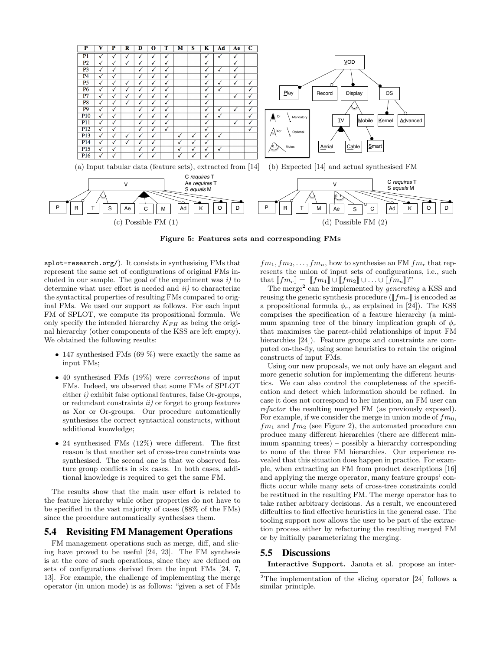

Figure 5: Features sets and corresponding FMs

splot-research.org/). It consists in synthesising FMs that represent the same set of configurations of original FMs included in our sample. The goal of the experiment was  $i$ ) to determine what user effort is needed and  $ii)$  to characterize the syntactical properties of resulting FMs compared to original FMs. We used our support as follows. For each input FM of SPLOT, we compute its propositional formula. We only specify the intended hierarchy  $K_{FH}$  as being the original hierarchy (other components of the KSS are left empty). We obtained the following results:

- 147 synthesised FMs  $(69\%)$  were exactly the same as input FMs;
- 40 synthesised FMs (19%) were *corrections* of input FMs. Indeed, we observed that some FMs of SPLOT either  $i$ ) exhibit false optional features, false Or-groups, or redundant constraints  $ii)$  or forget to group features as Xor or Or-groups. Our procedure automatically synthesises the correct syntactical constructs, without additional knowledge;
- 24 synthesised FMs (12%) were different. The first reason is that another set of cross-tree constraints was synthesised. The second one is that we observed feature group conflicts in six cases. In both cases, additional knowledge is required to get the same FM.

The results show that the main user effort is related to the feature hierarchy while other properties do not have to be specified in the vast majority of cases (88% of the FMs) since the procedure automatically synthesises them.

## 5.4 Revisiting FM Management Operations

FM management operations such as merge, diff, and slicing have proved to be useful [24, 23]. The FM synthesis is at the core of such operations, since they are defined on sets of configurations derived from the input FMs [24, 7, 13]. For example, the challenge of implementing the merge operator (in union mode) is as follows: "given a set of FMs  $fm_1, fm_2, \ldots, fm_n$ , how to synthesise an FM  $fm_r$  that represents the union of input sets of configurations, i.e., such that  $[[fm_r]] = [[fm_1]] \cup [[fm_2]] \cup ... \cup [[fm_n]]$ ?"

The merge<sup>2</sup> can be implemented by *generating* a KSS and reusing the generic synthesis procedure ( $\llbracket fm_r \rrbracket$  is encoded as a propositional formula  $\phi_r$ , as explained in [24]). The KSS comprises the specification of a feature hierarchy (a minimum spanning tree of the binary implication graph of  $\phi_r$ that maximises the parent-child relationships of input FM hierarchies [24]). Feature groups and constraints are computed on-the-fly, using some heuristics to retain the original constructs of input FMs.

Using our new proposals, we not only have an elegant and more generic solution for implementing the different heuristics. We can also control the completeness of the specification and detect which information should be refined. In case it does not correspond to her intention, an FM user can refactor the resulting merged FM (as previously exposed). For example, if we consider the merge in union mode of  $fm_0$ ,  $fm_1$  and  $fm_2$  (see Figure 2), the automated procedure can produce many different hierarchies (there are different minimum spanning trees) – possibly a hierarchy corresponding to none of the three FM hierarchies. Our experience revealed that this situation does happen in practice. For example, when extracting an FM from product descriptions [16] and applying the merge operator, many feature groups' conflicts occur while many sets of cross-tree constraints could be restitued in the resulting FM. The merge operator has to take rather arbitrary decisions. As a result, we encountered diffculties to find effective heuristics in the general case. The tooling support now allows the user to be part of the extraction process either by refactoring the resulting merged FM or by initially parameterizing the merging.

## 5.5 Discussions

Interactive Support. Janota et al. propose an inter-

<sup>&</sup>lt;sup>2</sup>The implementation of the slicing operator  $[24]$  follows a similar principle.